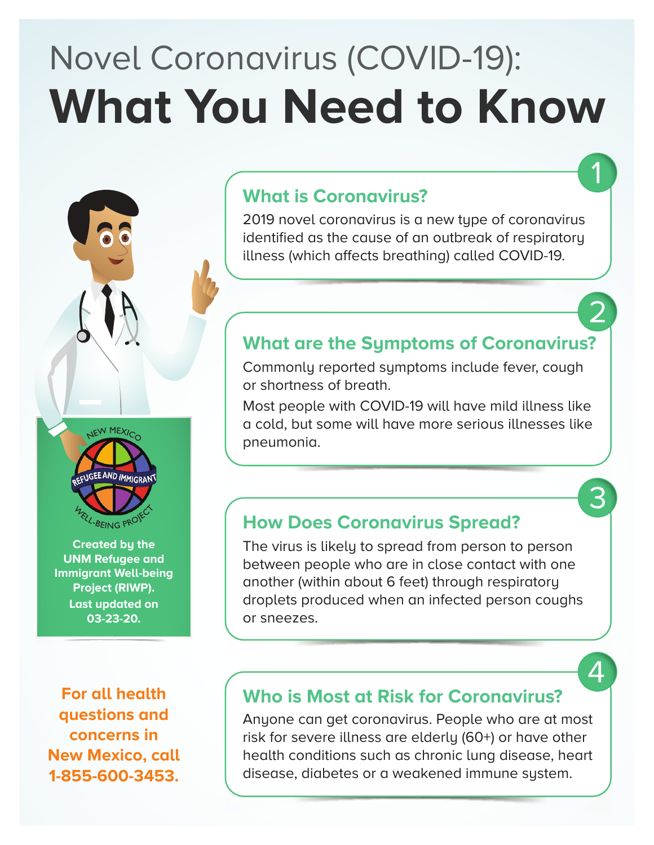# Novel Coronavirus (COVID-19): **What You Need to Know**

### **What is Coronavirus?**

2019 novel coronavirus is a new type of coronavirus identified as the cause of an outbreak of respiratory illness (which affects breathing) called COVID-19.

### **What are the Symptoms of Coronavirus?**

Commonly reported symptoms include fever, cough or shortness of breath.

Most people with COVID-19 will have mild illness like a cold, but some will have more serious illnesses like pneumonia.

### **How Does Coronavirus Spread?**

The virus is likely to spread from person to person between people who are in close contact with one another (within about 6 feet) through respiratory droplets produced when an infected person coughs or sneezes.

### **Who is Most at Risk for Coronavirus?**

Anyone can get coronavirus. People who are at most risk for severe illness are elderly (60+) or have other health conditions such as chronic lung disease, heart disease, diabetes or a weakened immune system.



NEW MEXICO

**Project (RIWP). Last updated on 03-23-20.**

**For all health questions and concerns in New Mexico, call 1-855-600-3453.**

 $\boldsymbol{\varDelta}$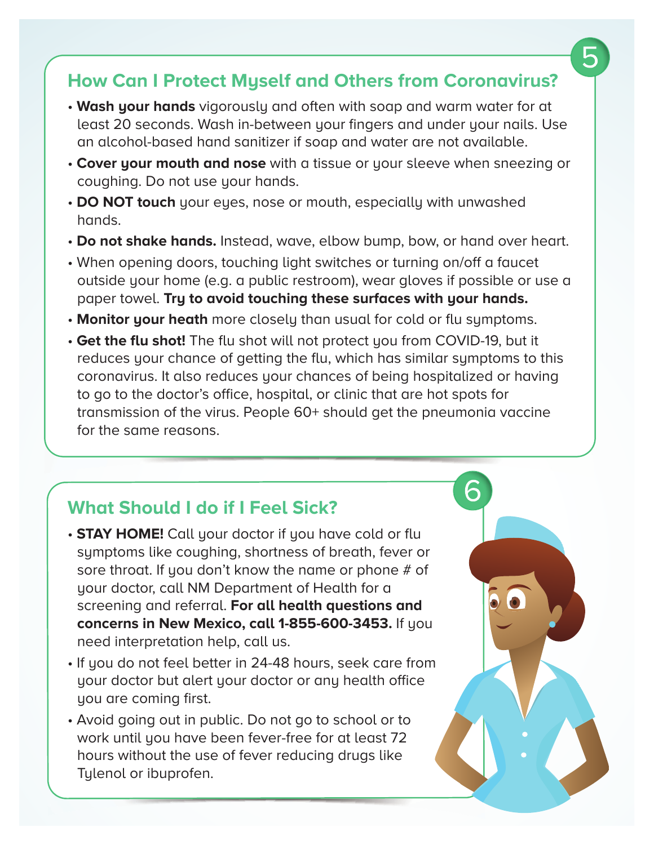### **How Can I Protect Myself and Others from Coronavirus?**

- **Wash your hands** vigorously and often with soap and warm water for at least 20 seconds. Wash in-between your fingers and under your nails. Use an alcohol-based hand sanitizer if soap and water are not available.
- **Cover your mouth and nose** with a tissue or your sleeve when sneezing or coughing. Do not use your hands.
- **DO NOT touch** your eyes, nose or mouth, especially with unwashed hands.
- **Do not shake hands.** Instead, wave, elbow bump, bow, or hand over heart.
- When opening doors, touching light switches or turning on/off a faucet outside your home (e.g. a public restroom), wear gloves if possible or use a paper towel. **Try to avoid touching these surfaces with your hands.**
- **Monitor your heath** more closely than usual for cold or flu symptoms.
- **Get the flu shot!** The flu shot will not protect you from COVID-19, but it reduces your chance of getting the flu, which has similar symptoms to this coronavirus. It also reduces your chances of being hospitalized or having to go to the doctor's office, hospital, or clinic that are hot spots for transmission of the virus. People 60+ should get the pneumonia vaccine for the same reasons.

6

### **What Should I do if I Feel Sick?**

- **STAY HOME!** Call your doctor if you have cold or flu symptoms like coughing, shortness of breath, fever or sore throat. If you don't know the name or phone # of your doctor, call NM Department of Health for a screening and referral. **For all health questions and concerns in New Mexico, call 1-855-600-3453.** If you need interpretation help, call us.
- If you do not feel better in 24-48 hours, seek care from your doctor but alert your doctor or any health office you are coming first.
- Avoid going out in public. Do not go to school or to work until you have been fever-free for at least 72 hours without the use of fever reducing drugs like Tylenol or ibuprofen.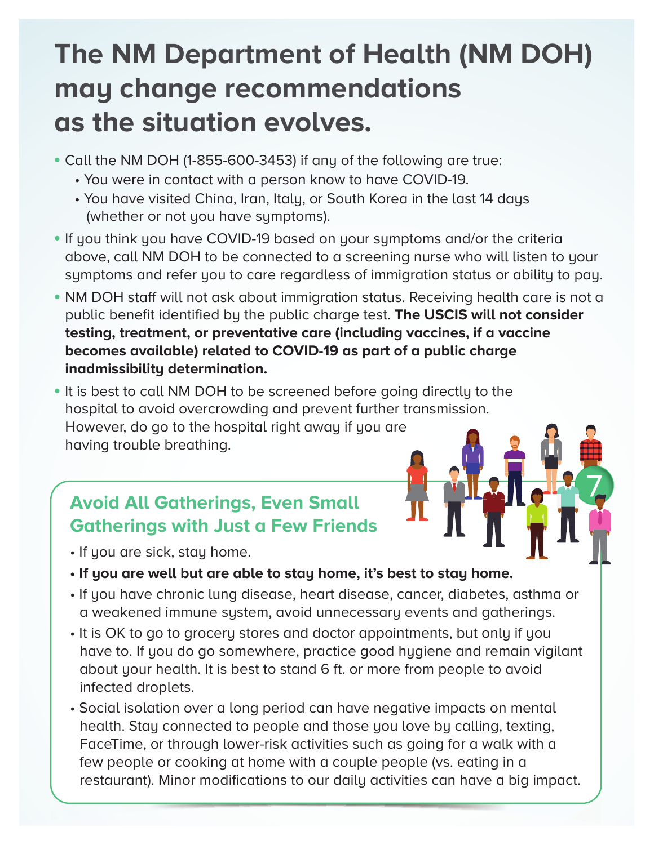# **The NM Department of Health (NM DOH) may change recommendations as the situation evolves.**

- Call the NM DOH (1-855-600-3453) if any of the following are true:
	- You were in contact with a person know to have COVID-19.
	- You have visited China, Iran, Italy, or South Korea in the last 14 days (whether or not you have symptoms).
- If you think you have COVID-19 based on your symptoms and/or the criteria above, call NM DOH to be connected to a screening nurse who will listen to your symptoms and refer you to care regardless of immigration status or ability to pay.
- NM DOH staff will not ask about immigration status. Receiving health care is not a public benefit identified by the public charge test. **The USCIS will not consider testing, treatment, or preventative care (including vaccines, if a vaccine becomes available) related to COVID-19 as part of a public charge inadmissibility determination.**
- It is best to call NM DOH to be screened before going directly to the hospital to avoid overcrowding and prevent further transmission. However, do go to the hospital right away if you are having trouble breathing.

### **Avoid All Gatherings, Even Small Gatherings with Just a Few Friends**

- If you are sick, stay home.
- **If you are well but are able to stay home, it's best to stay home.**
- If you have chronic lung disease, heart disease, cancer, diabetes, asthma or a weakened immune system, avoid unnecessary events and gatherings.
- It is OK to go to grocery stores and doctor appointments, but only if you have to. If you do go somewhere, practice good hygiene and remain vigilant about your health. It is best to stand 6 ft. or more from people to avoid infected droplets.
- Social isolation over a long period can have negative impacts on mental health. Stay connected to people and those you love by calling, texting, FaceTime, or through lower-risk activities such as going for a walk with a few people or cooking at home with a couple people (vs. eating in a restaurant). Minor modifications to our daily activities can have a big impact.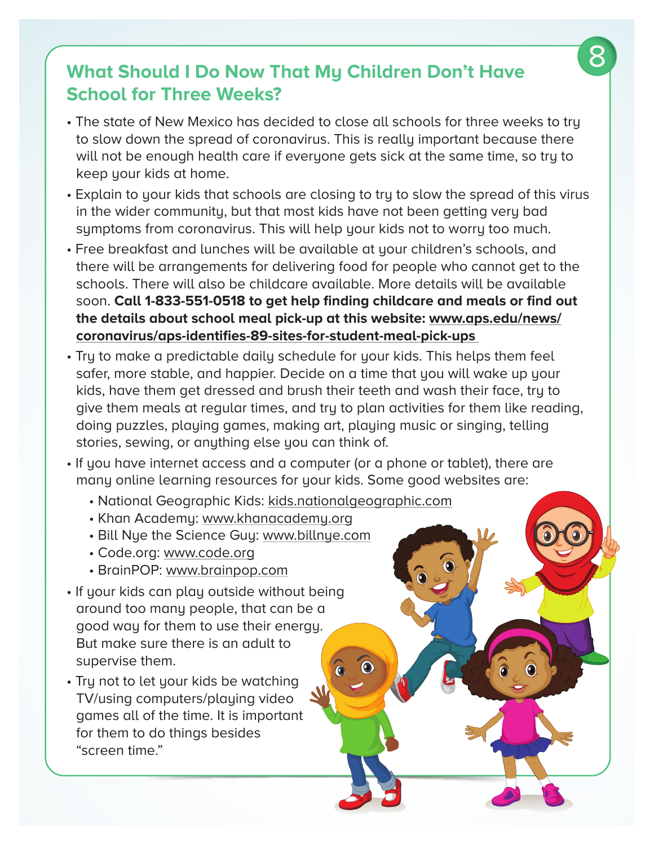### **What Should I Do Now That My Children Don't Have School for Three Weeks?**

- The state of New Mexico has decided to close all schools for three weeks to try to slow down the spread of coronavirus. This is really important because there will not be enough health care if everyone gets sick at the same time, so try to keep your kids at home.
- Explain to your kids that schools are closing to try to slow the spread of this virus in the wider community, but that most kids have not been getting very bad symptoms from coronavirus. This will help your kids not to worry too much.
- Free breakfast and lunches will be available at your children's schools, and there will be arrangements for delivering food for people who cannot get to the schools. There will also be childcare available. More details will be available soon. **Call 1-833-551-0518 to get help finding childcare and meals or find out the details about school meal pick-up at this website: www.aps.edu/news/ coronavirus/aps-identifies-89-sites-for-student-meal-pick-ups**
- Try to make a predictable daily schedule for your kids. This helps them feel safer, more stable, and happier. Decide on a time that you will wake up your kids, have them get dressed and brush their teeth and wash their face, try to give them meals at regular times, and try to plan activities for them like reading, doing puzzles, playing games, making art, playing music or singing, telling stories, sewing, or anything else you can think of.
- If you have internet access and a computer (or a phone or tablet), there are many online learning resources for your kids. Some good websites are:
	- National Geographic Kids: kids.nationalgeographic.com
	- Khan Academy: www.khanacademy.org
	- Bill Nye the Science Guy: www.billnye.com
	- Code.org: www.code.org
	- BrainPOP: www.brainpop.com
- If your kids can play outside without being around too many people, that can be a good way for them to use their energy. But make sure there is an adult to supervise them.
- Try not to let your kids be watching TV/using computers/playing video games all of the time. It is important for them to do things besides "screen time."

8

Ô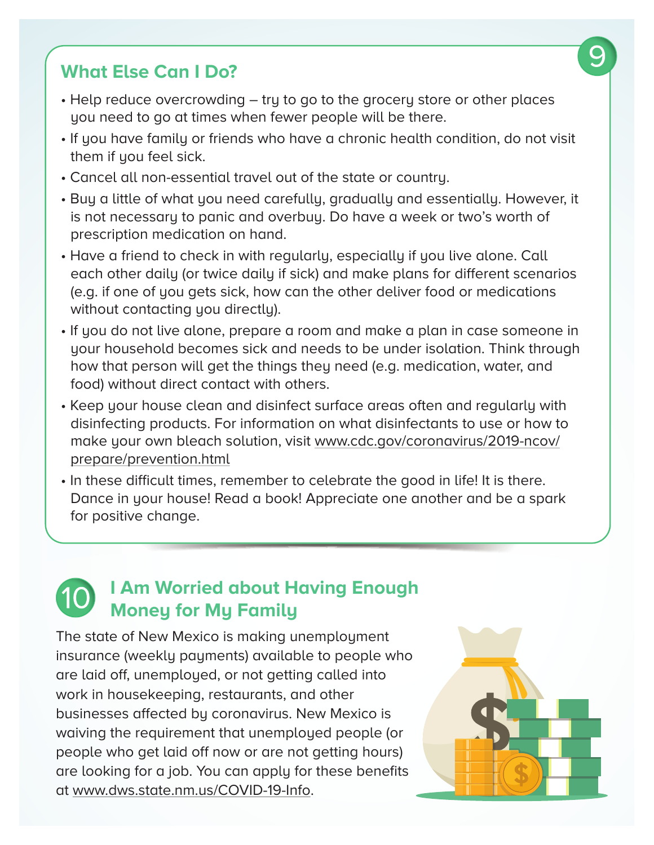### **What Else Can I Do?**

- Help reduce overcrowding try to go to the grocery store or other places you need to go at times when fewer people will be there.
- If you have family or friends who have a chronic health condition, do not visit them if you feel sick.
- Cancel all non-essential travel out of the state or country.
- Buy a little of what you need carefully, gradually and essentially. However, it is not necessary to panic and overbuy. Do have a week or two's worth of prescription medication on hand.
- Have a friend to check in with regularly, especially if you live alone. Call each other daily (or twice daily if sick) and make plans for different scenarios (e.g. if one of you gets sick, how can the other deliver food or medications without contacting you directly).
- If you do not live alone, prepare a room and make a plan in case someone in your household becomes sick and needs to be under isolation. Think through how that person will get the things they need (e.g. medication, water, and food) without direct contact with others.
- Keep your house clean and disinfect surface areas often and regularly with disinfecting products. For information on what disinfectants to use or how to make your own bleach solution, visit www.cdc.gov/coronavirus/2019-ncov/ prepare/prevention.html
- In these difficult times, remember to celebrate the good in life! It is there. Dance in your house! Read a book! Appreciate one another and be a spark for positive change.

## **I Am Worried about Having Enough Money for My Family**

The state of New Mexico is making unemployment insurance (weekly payments) available to people who are laid off, unemployed, or not getting called into work in housekeeping, restaurants, and other businesses affected by coronavirus. New Mexico is waiving the requirement that unemployed people (or people who get laid off now or are not getting hours) are looking for a job. You can apply for these benefits at www.dws.state.nm.us/COVID-19-Info.